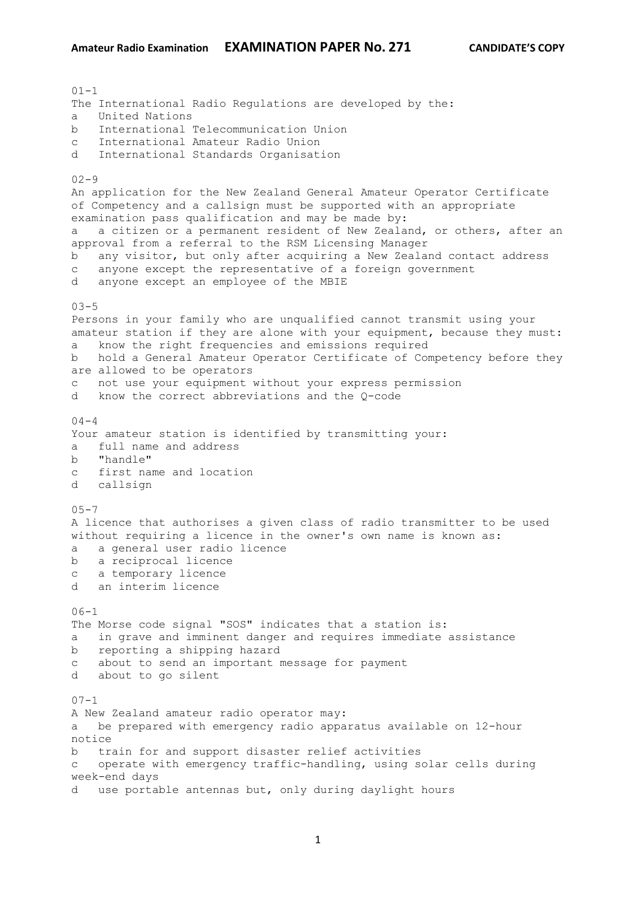$01 - 1$ The International Radio Regulations are developed by the: a United Nations b International Telecommunication Union c International Amateur Radio Union d International Standards Organisation  $02 - 9$ An application for the New Zealand General Amateur Operator Certificate of Competency and a callsign must be supported with an appropriate examination pass qualification and may be made by: a a citizen or a permanent resident of New Zealand, or others, after an approval from a referral to the RSM Licensing Manager b any visitor, but only after acquiring a New Zealand contact address c anyone except the representative of a foreign government d anyone except an employee of the MBIE  $03 - 5$ Persons in your family who are unqualified cannot transmit using your amateur station if they are alone with your equipment, because they must: a know the right frequencies and emissions required b hold a General Amateur Operator Certificate of Competency before they are allowed to be operators not use your equipment without your express permission d know the correct abbreviations and the Q-code  $04 - 4$ Your amateur station is identified by transmitting your: a full name and address b "handle" c first name and location d callsign  $0.5 - 7$ A licence that authorises a given class of radio transmitter to be used without requiring a licence in the owner's own name is known as: a a general user radio licence b a reciprocal licence c a temporary licence d an interim licence  $06 - 1$ The Morse code signal "SOS" indicates that a station is: a in grave and imminent danger and requires immediate assistance b reporting a shipping hazard c about to send an important message for payment d about to go silent  $07 - 1$ A New Zealand amateur radio operator may: a be prepared with emergency radio apparatus available on 12-hour notice b train for and support disaster relief activities c operate with emergency traffic-handling, using solar cells during week-end days d use portable antennas but, only during daylight hours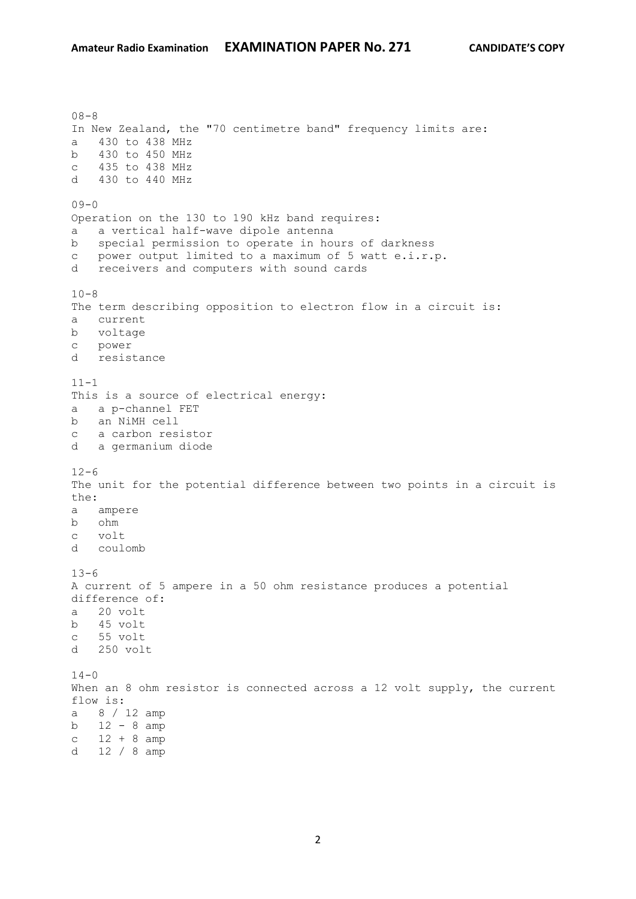$08 - 8$ In New Zealand, the "70 centimetre band" frequency limits are: a 430 to 438 MHz b 430 to 450 MHz c 435 to 438 MHz d 430 to 440 MHz  $09 - 0$ Operation on the 130 to 190 kHz band requires: a a vertical half-wave dipole antenna b special permission to operate in hours of darkness c power output limited to a maximum of 5 watt e.i.r.p.<br>d receivers and computers with sound cards receivers and computers with sound cards  $10 - 8$ The term describing opposition to electron flow in a circuit is: a current b voltage c power d resistance  $11 - 1$ This is a source of electrical energy: a a p-channel FET b an NiMH cell c a carbon resistor d a germanium diode  $12 - 6$ The unit for the potential difference between two points in a circuit is the: a ampere b ohm c volt d coulomb  $13 - 6$ A current of 5 ampere in a 50 ohm resistance produces a potential difference of: a 20 volt b 45 volt c 55 volt d 250 volt  $14 - 0$ When an 8 ohm resistor is connected across a 12 volt supply, the current flow is: a 8 / 12 amp b 12 - 8 amp  $c$  12 + 8 amp d 12 / 8 amp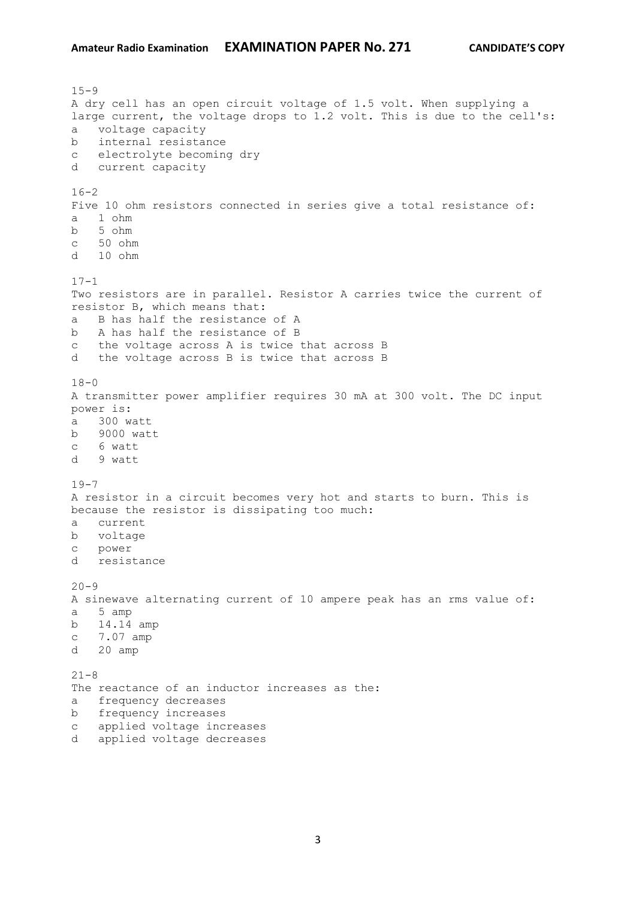$15 - 9$ A dry cell has an open circuit voltage of 1.5 volt. When supplying a large current, the voltage drops to 1.2 volt. This is due to the cell's: a voltage capacity b internal resistance c electrolyte becoming dry d current capacity  $16 - 2$ Five 10 ohm resistors connected in series give a total resistance of: a 1 ohm b 5 ohm c 50 ohm d 10 ohm  $17 - 1$ Two resistors are in parallel. Resistor A carries twice the current of resistor B, which means that: a B has half the resistance of A b A has half the resistance of B c the voltage across A is twice that across B d the voltage across B is twice that across B  $18 - 0$ A transmitter power amplifier requires 30 mA at 300 volt. The DC input power is: a 300 watt b 9000 watt c 6 watt d 9 watt  $19 - 7$ A resistor in a circuit becomes very hot and starts to burn. This is because the resistor is dissipating too much: a current b voltage c power d resistance  $20 - 9$ A sinewave alternating current of 10 ampere peak has an rms value of: a 5 amp b 14.14 amp c 7.07 amp d 20 amp  $21 - 8$ The reactance of an inductor increases as the: a frequency decreases b frequency increases c applied voltage increases d applied voltage decreases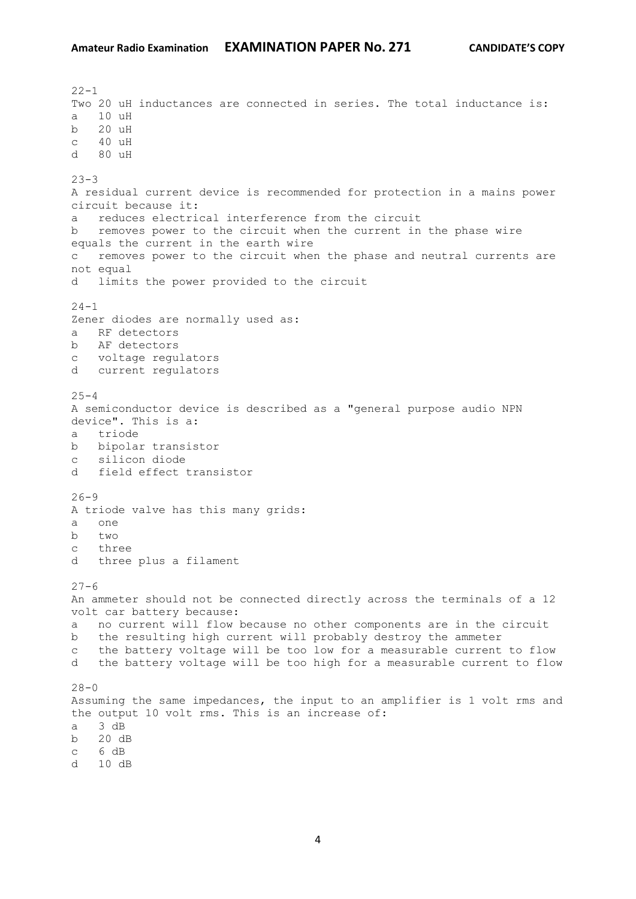$22 - 1$ Two 20 uH inductances are connected in series. The total inductance is: a 10 uH b 20 uH  $c = 40$  uH d 80 uH  $23 - 3$ A residual current device is recommended for protection in a mains power circuit because it: a reduces electrical interference from the circuit b removes power to the circuit when the current in the phase wire equals the current in the earth wire c removes power to the circuit when the phase and neutral currents are not equal d limits the power provided to the circuit  $24 - 1$ Zener diodes are normally used as: a RF detectors b AF detectors c voltage regulators d current regulators  $25 - 4$ A semiconductor device is described as a "general purpose audio NPN device". This is a: a triode b bipolar transistor c silicon diode d field effect transistor  $26 - 9$ A triode valve has this many grids: a one b two c three d three plus a filament  $27 - 6$ An ammeter should not be connected directly across the terminals of a 12 volt car battery because: a no current will flow because no other components are in the circuit b the resulting high current will probably destroy the ammeter c the battery voltage will be too low for a measurable current to flow d the battery voltage will be too high for a measurable current to flow  $28 - 0$ Assuming the same impedances, the input to an amplifier is 1 volt rms and the output 10 volt rms. This is an increase of: a  $3 \overline{dB}$ b 20 dB c 6 dB d 10 dB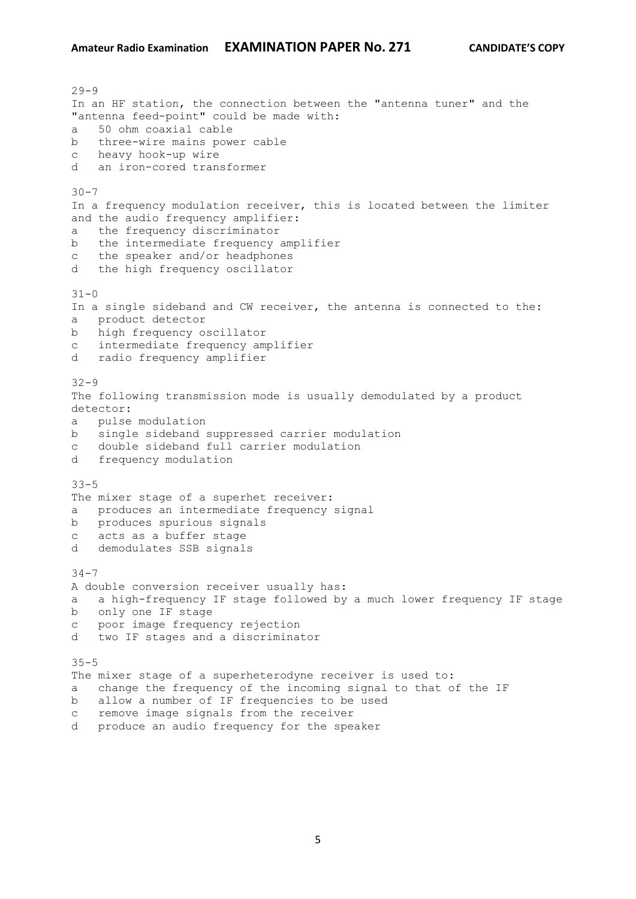$29 - 9$ In an HF station, the connection between the "antenna tuner" and the "antenna feed-point" could be made with: a 50 ohm coaxial cable b three-wire mains power cable c heavy hook-up wire d an iron-cored transformer  $30 - 7$ In a frequency modulation receiver, this is located between the limiter and the audio frequency amplifier: a the frequency discriminator b the intermediate frequency amplifier c the speaker and/or headphones d the high frequency oscillator  $31 - 0$ In a single sideband and CW receiver, the antenna is connected to the: a product detector b high frequency oscillator c intermediate frequency amplifier d radio frequency amplifier 32-9 The following transmission mode is usually demodulated by a product detector: a pulse modulation b single sideband suppressed carrier modulation c double sideband full carrier modulation d frequency modulation 33-5 The mixer stage of a superhet receiver: a produces an intermediate frequency signal b produces spurious signals c acts as a buffer stage d demodulates SSB signals 34-7 A double conversion receiver usually has: a a high-frequency IF stage followed by a much lower frequency IF stage b only one IF stage c poor image frequency rejection d two IF stages and a discriminator 35-5 The mixer stage of a superheterodyne receiver is used to: a change the frequency of the incoming signal to that of the IF b allow a number of IF frequencies to be used c remove image signals from the receiver

d produce an audio frequency for the speaker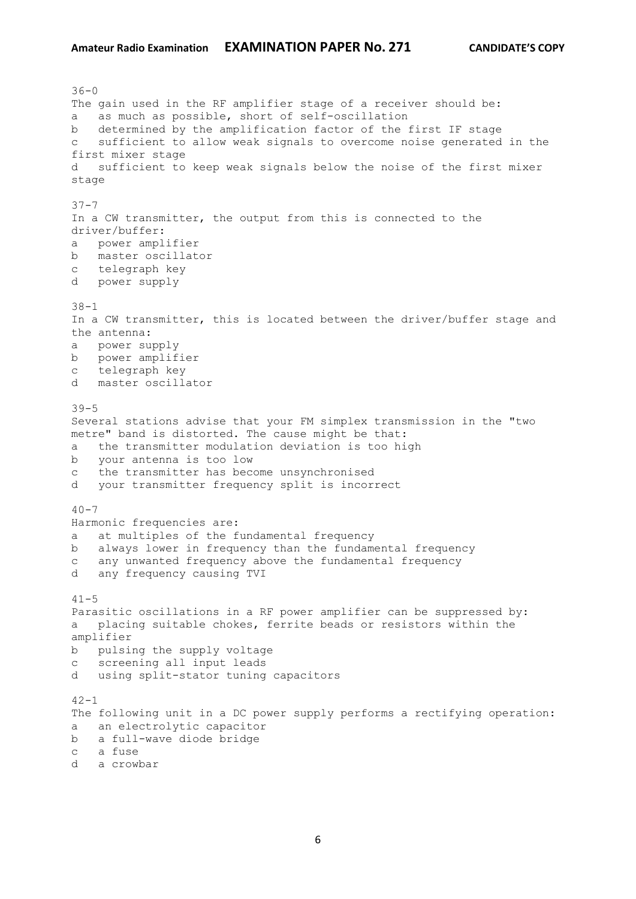$36 - 0$ The gain used in the RF amplifier stage of a receiver should be: a as much as possible, short of self-oscillation b determined by the amplification factor of the first IF stage c sufficient to allow weak signals to overcome noise generated in the first mixer stage d sufficient to keep weak signals below the noise of the first mixer stage 37-7 In a CW transmitter, the output from this is connected to the driver/buffer: a power amplifier b master oscillator c telegraph key d power supply 38-1 In a CW transmitter, this is located between the driver/buffer stage and the antenna: a power supply b power amplifier c telegraph key d master oscillator  $39 - 5$ Several stations advise that your FM simplex transmission in the "two metre" band is distorted. The cause might be that: a the transmitter modulation deviation is too high b your antenna is too low c the transmitter has become unsynchronised d your transmitter frequency split is incorrect  $40 - 7$ Harmonic frequencies are: a at multiples of the fundamental frequency b always lower in frequency than the fundamental frequency c any unwanted frequency above the fundamental frequency d any frequency causing TVI  $41 - 5$ Parasitic oscillations in a RF power amplifier can be suppressed by: a placing suitable chokes, ferrite beads or resistors within the amplifier b pulsing the supply voltage c screening all input leads d using split-stator tuning capacitors  $42 - 1$ The following unit in a DC power supply performs a rectifying operation: a an electrolytic capacitor b a full-wave diode bridge c a fuse d a crowbar

6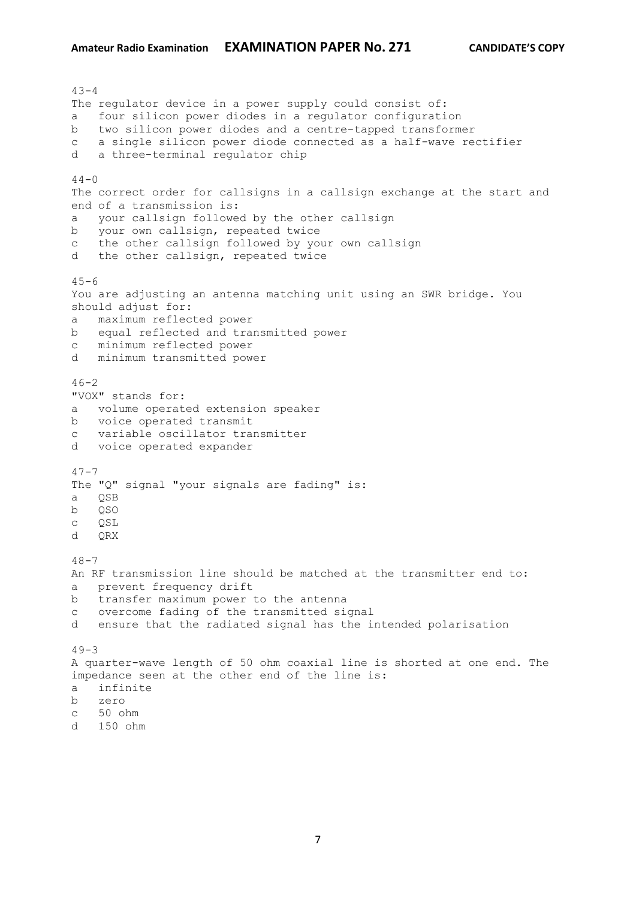$43 - 4$ The regulator device in a power supply could consist of: a four silicon power diodes in a regulator configuration b two silicon power diodes and a centre-tapped transformer c a single silicon power diode connected as a half-wave rectifier d a three-terminal regulator chip  $44 - 0$ The correct order for callsigns in a callsign exchange at the start and end of a transmission is: a your callsign followed by the other callsign b your own callsign, repeated twice c the other callsign followed by your own callsign d the other callsign, repeated twice  $45 - 6$ You are adjusting an antenna matching unit using an SWR bridge. You should adjust for: a maximum reflected power b equal reflected and transmitted power c minimum reflected power d minimum transmitted power  $46 - 2$ "VOX" stands for: a volume operated extension speaker b voice operated transmit c variable oscillator transmitter d voice operated expander  $47 - 7$ The "Q" signal "your signals are fading" is: a QSB b QSO c QSL d QRX  $48 - 7$ An RF transmission line should be matched at the transmitter end to: a prevent frequency drift b transfer maximum power to the antenna c overcome fading of the transmitted signal d ensure that the radiated signal has the intended polarisation  $49 - 3$ A quarter-wave length of 50 ohm coaxial line is shorted at one end. The impedance seen at the other end of the line is: a infinite b zero c 50 ohm

d 150 ohm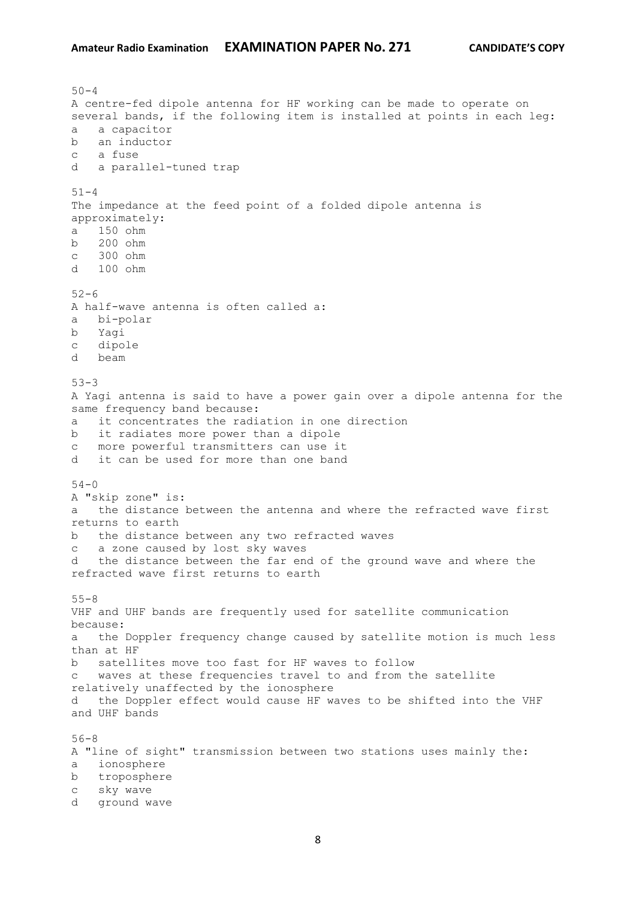$50 - 4$ A centre-fed dipole antenna for HF working can be made to operate on several bands, if the following item is installed at points in each leg: a a capacitor b an inductor c a fuse d a parallel-tuned trap  $51 - 4$ The impedance at the feed point of a folded dipole antenna is approximately: a 150 ohm b 200 ohm c 300 ohm d 100 ohm  $52 - 6$ A half-wave antenna is often called a: a bi-polar b Yagi c dipole d beam  $53 - 3$ A Yagi antenna is said to have a power gain over a dipole antenna for the same frequency band because: a it concentrates the radiation in one direction b it radiates more power than a dipole c more powerful transmitters can use it d it can be used for more than one band  $54 - 0$ A "skip zone" is: a the distance between the antenna and where the refracted wave first returns to earth b the distance between any two refracted waves c a zone caused by lost sky waves d the distance between the far end of the ground wave and where the refracted wave first returns to earth 55-8 VHF and UHF bands are frequently used for satellite communication because: a the Doppler frequency change caused by satellite motion is much less than at HF b satellites move too fast for HF waves to follow c waves at these frequencies travel to and from the satellite relatively unaffected by the ionosphere d the Doppler effect would cause HF waves to be shifted into the VHF and UHF bands 56-8 A "line of sight" transmission between two stations uses mainly the: a ionosphere b troposphere c sky wave d ground wave